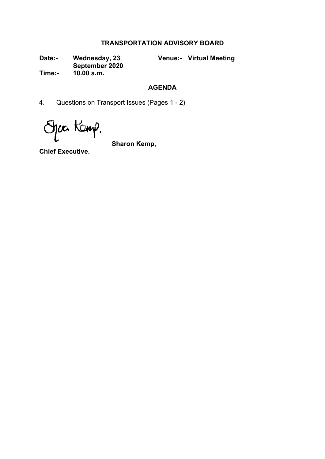## **TRANSPORTATION ADVISORY BOARD**

**Date:- Wednesday, 23 September 2020** **Venue:- Virtual Meeting**

**Time:- 10.00 a.m.**

## **AGENDA**

4. Questions on Transport Issues (Pages 1 - 2)

Spackemp.

**Sharon Kemp,**

**Chief Executive.**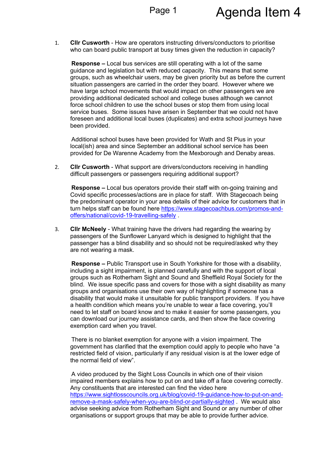1. **Cllr Cusworth** - How are operators instructing drivers/conductors to prioritise who can board public transport at busy times given the reduction in capacity?

**Response –** Local bus services are still operating with a lot of the same guidance and legislation but with reduced capacity. This means that some groups, such as wheelchair users, may be given priority but as before the current situation passengers are carried in the order they board. However where we have large school movements that would impact on other passengers we are providing additional dedicated school and college buses although we cannot force school children to use the school buses or stop them from using local service buses. Some issues have arisen in September that we could not have foreseen and additional local buses (duplicates) and extra school journeys have been provided.

Additional school buses have been provided for Wath and St Pius in your local(ish) area and since September an additional school service has been provided for De Warenne Academy from the Mexborough and Denaby areas.

2. **Cllr Cusworth** - What support are drivers/conductors receiving in handling difficult passengers or passengers requiring additional support?

**Response –** Local bus operators provide their staff with on-going training and Covid specific processes/actions are in place for staff. With Stagecoach being the predominant operator in your area details of their advice for customers that in turn helps staff can be found here [https://www.stagecoachbus.com/promos-and](https://eur02.safelinks.protection.outlook.com/?url=https%3A%2F%2Fwww.stagecoachbus.com%2Fpromos-and-offers%2Fnational%2Fcovid-19-travelling-safely&data=02%7C01%7CMartin.Elliott%40rotherham.gov.uk%7Cf07b8449f5a14f28ee9408d85dff3483%7C46fbe6fd78ae47699c1dbcea97378af6%7C0%7C0%7C637362697957737041&sdata=Nt7cl%2FQNHLpiETy4jCyKyC%2F2ehcf%2Bn0eyhTIvI4EsJY%3D&reserved=0)[offers/national/covid-19-travelling-safely](https://eur02.safelinks.protection.outlook.com/?url=https%3A%2F%2Fwww.stagecoachbus.com%2Fpromos-and-offers%2Fnational%2Fcovid-19-travelling-safely&data=02%7C01%7CMartin.Elliott%40rotherham.gov.uk%7Cf07b8449f5a14f28ee9408d85dff3483%7C46fbe6fd78ae47699c1dbcea97378af6%7C0%7C0%7C637362697957737041&sdata=Nt7cl%2FQNHLpiETy4jCyKyC%2F2ehcf%2Bn0eyhTIvI4EsJY%3D&reserved=0) .

3. **Cllr McNeely** - What training have the drivers had regarding the wearing by passengers of the Sunflower Lanyard which is designed to highlight that the passenger has a blind disability and so should not be required/asked why they are not wearing a mask.

**Response –** Public Transport use in South Yorkshire for those with a disability, including a sight impairment, is planned carefully and with the support of local groups such as Rotherham Sight and Sound and Sheffield Royal Society for the blind. We issue specific pass and covers for those with a sight disability as many groups and organisations use their own way of highlighting if someone has a disability that would make it unsuitable for public transport providers. If you have a health condition which means you're unable to wear a face covering, you'll need to let staff on board know and to make it easier for some passengers, you can download our journey assistance cards, and then show the face covering exemption card when you travel.

There is no blanket exemption for anyone with a vision impairment. The government has clarified that the exemption could apply to people who have "a restricted field of vision, particularly if any residual vision is at the lower edge of the normal field of view".

A video produced by the Sight Loss Councils in which one of their vision impaired members explains how to put on and take off a face covering correctly. Any constituents that are interested can find the video here [https://www.sightlosscouncils.org.uk/blog/covid-19-guidance-how-to-put-on-and](https://eur02.safelinks.protection.outlook.com/?url=https%3A%2F%2Fwww.sightlosscouncils.org.uk%2Fblog%2Fcovid-19-guidance-how-to-put-on-and-remove-a-mask-safely-when-you-are-blind-or-partially-sighted&data=02%7C01%7CMartin.Elliott%40rotherham.gov.uk%7Cf07b8449f5a14f28ee9408d85dff3483%7C46fbe6fd78ae47699c1dbcea97378af6%7C0%7C0%7C637362697957737041&sdata=TZL8ukrLb5AWoaQ76Q5SThoJu0BUCwFH3t0nWEKcpUk%3D&reserved=0)[remove-a-mask-safely-when-you-are-blind-or-partially-sighted](https://eur02.safelinks.protection.outlook.com/?url=https%3A%2F%2Fwww.sightlosscouncils.org.uk%2Fblog%2Fcovid-19-guidance-how-to-put-on-and-remove-a-mask-safely-when-you-are-blind-or-partially-sighted&data=02%7C01%7CMartin.Elliott%40rotherham.gov.uk%7Cf07b8449f5a14f28ee9408d85dff3483%7C46fbe6fd78ae47699c1dbcea97378af6%7C0%7C0%7C637362697957737041&sdata=TZL8ukrLb5AWoaQ76Q5SThoJu0BUCwFH3t0nWEKcpUk%3D&reserved=0) . We would also advise seeking advice from Rotherham Sight and Sound or any number of other organisations or support groups that may be able to provide further advice.